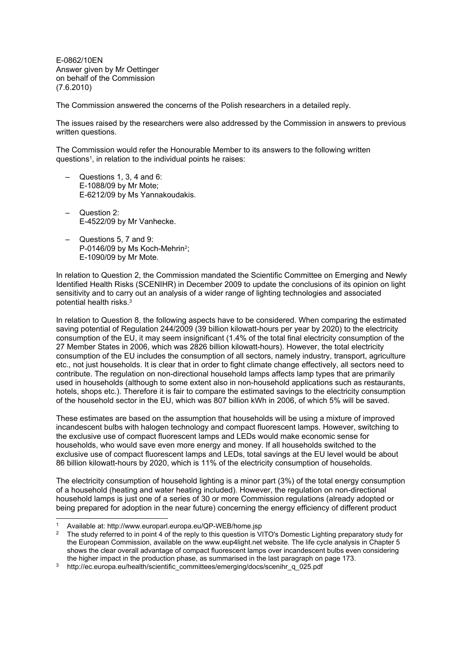E-0862/10EN Answer given by Mr Oettinger on behalf of the Commission (7.6.2010)

The Commission answered the concerns of the Polish researchers in a detailed reply.

The issues raised by the researchers were also addressed by the Commission in answers to previous written questions.

The Commission would refer the Honourable Member to its answers to the following written questions<sup>1</sup>, in relation to the individual points he raises:

- Questions 1, 3, 4 and 6: E-1088/09 by Mr Mote; E-6212/09 by Ms Yannakoudakis.
- Question 2: E-4522/09 by Mr Vanhecke.
- Questions 5, 7 and 9: P-0146/09 by Ms Koch-Mehrin<sup>2</sup>; E-1090/09 by Mr Mote.

In relation to Question 2, the Commission mandated the Scientific Committee on Emerging and Newly Identified Health Risks (SCENIHR) in December 2009 to update the conclusions of its opinion on light sensitivity and to carry out an analysis of a wider range of lighting technologies and associated potential health risks.<sup>3</sup>

In relation to Question 8, the following aspects have to be considered. When comparing the estimated saving potential of Regulation 244/2009 (39 billion kilowatt-hours per year by 2020) to the electricity consumption of the EU, it may seem insignificant (1.4% of the total final electricity consumption of the 27 Member States in 2006, which was 2826 billion kilowatt-hours). However, the total electricity consumption of the EU includes the consumption of all sectors, namely industry, transport, agriculture etc., not just households. It is clear that in order to fight climate change effectively, all sectors need to contribute. The regulation on non-directional household lamps affects lamp types that are primarily used in households (although to some extent also in non-household applications such as restaurants, hotels, shops etc.). Therefore it is fair to compare the estimated savings to the electricity consumption of the household sector in the EU, which was 807 billion kWh in 2006, of which 5% will be saved.

These estimates are based on the assumption that households will be using a mixture of improved incandescent bulbs with halogen technology and compact fluorescent lamps. However, switching to the exclusive use of compact fluorescent lamps and LEDs would make economic sense for households, who would save even more energy and money. If all households switched to the exclusive use of compact fluorescent lamps and LEDs, total savings at the EU level would be about 86 billion kilowatt-hours by 2020, which is 11% of the electricity consumption of households.

The electricity consumption of household lighting is a minor part (3%) of the total energy consumption of a household (heating and water heating included). However, the regulation on non-directional household lamps is just one of a series of 30 or more Commission regulations (already adopted or being prepared for adoption in the near future) concerning the energy efficiency of different product

<sup>1</sup> Available at: http://www.europarl.europa.eu/QP-WEB/home.jsp

<sup>2</sup> The study referred to in point 4 of the reply to this question is VITO's Domestic Lighting preparatory study for the European Commission, available on the www.eup4light.net website. The life cycle analysis in Chapter 5 shows the clear overall advantage of compact fluorescent lamps over incandescent bulbs even considering the higher impact in the production phase, as summarised in the last paragraph on page 173.

<sup>3</sup> http://ec.europa.eu/health/scientific\_committees/emerging/docs/scenihr\_q\_025.pdf